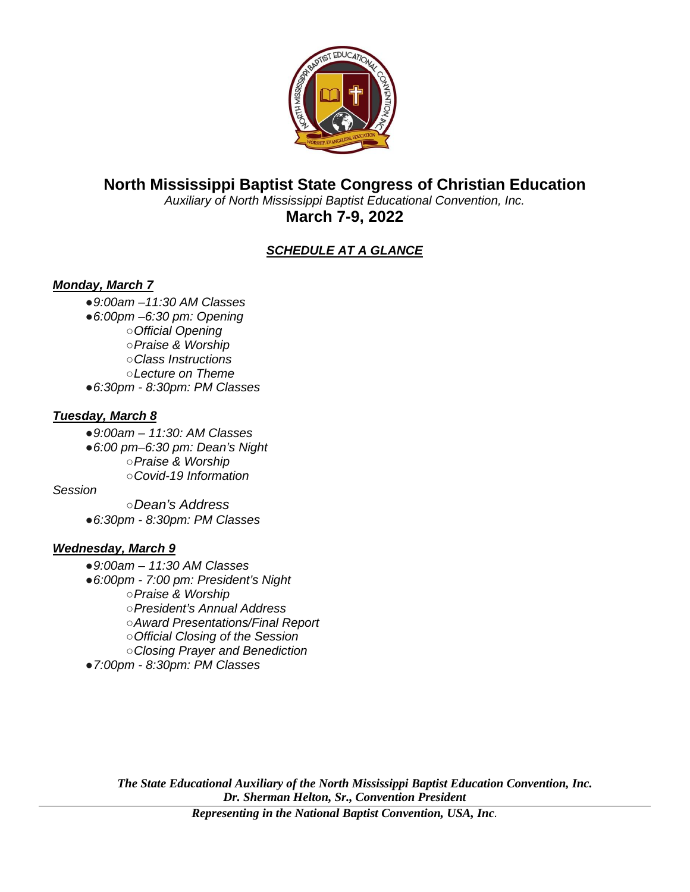

# **North Mississippi Baptist State Congress of Christian Education**

*Auxiliary of North Mississippi Baptist Educational Convention, Inc.* **March 7-9, 2022**

# *SCHEDULE AT A GLANCE*

# *Monday, March 7*

- ●*9:00am –11:30 AM Classes*
- ●*6:00pm –6:30 pm: Opening* 
	- ○*Official Opening*
	- ○*Praise & Worship*
	- ○*Class Instructions*
- ○*Lecture on Theme* ●*6:30pm - 8:30pm: PM Classes*

# *Tuesday, March 8*

- ●*9:00am – 11:30: AM Classes*
- ●*6:00 pm–6:30 pm: Dean's Night*  ○*Praise & Worship* ○*Covid-19 Information*

# *Session*

- ○*Dean's Address*
- ●*6:30pm - 8:30pm: PM Classes*

# *Wednesday, March 9*

- ●*9:00am – 11:30 AM Classes*
- ●*6:00pm - 7:00 pm: President's Night* 
	- ○*Praise & Worship*
	- ○*President's Annual Address*
	- ○*Award Presentations/Final Report*
	- ○*Official Closing of the Session*
	- ○*Closing Prayer and Benediction*
- ●*7:00pm - 8:30pm: PM Classes*

*The State Educational Auxiliary of the North Mississippi Baptist Education Convention, Inc. Dr. Sherman Helton, Sr., Convention President*